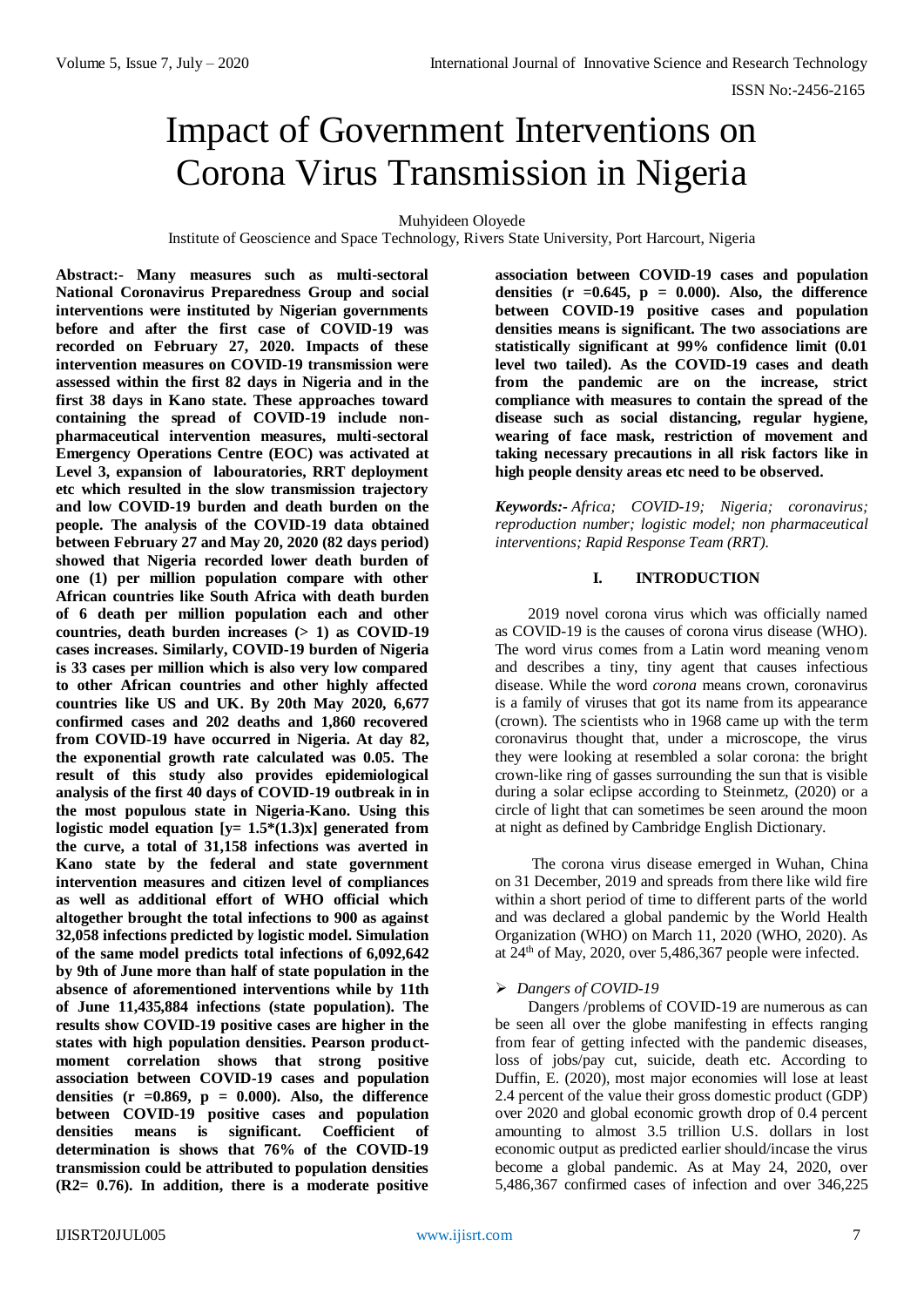# Impact of Government Interventions on Corona Virus Transmission in Nigeria

Muhyideen Oloyede

Institute of Geoscience and Space Technology, Rivers State University, Port Harcourt, Nigeria

**Abstract:- Many measures such as multi-sectoral National Coronavirus Preparedness Group and social interventions were instituted by Nigerian governments before and after the first case of COVID-19 was recorded on February 27, 2020. Impacts of these intervention measures on COVID-19 transmission were assessed within the first 82 days in Nigeria and in the first 38 days in Kano state. These approaches toward containing the spread of COVID-19 include nonpharmaceutical intervention measures, multi-sectoral Emergency Operations Centre (EOC) was activated at Level 3, expansion of labouratories, RRT deployment etc which resulted in the slow transmission trajectory and low COVID-19 burden and death burden on the people. The analysis of the COVID-19 data obtained between February 27 and May 20, 2020 (82 days period) showed that Nigeria recorded lower death burden of one (1) per million population compare with other African countries like South Africa with death burden of 6 death per million population each and other countries, death burden increases (> 1) as COVID-19 cases increases. Similarly, COVID-19 burden of Nigeria is 33 cases per million which is also very low compared to other African countries and other highly affected countries like US and UK. By 20th May 2020, 6,677 confirmed cases and 202 deaths and 1,860 recovered from COVID-19 have occurred in Nigeria. At day 82, the exponential growth rate calculated was 0.05. The result of this study also provides epidemiological analysis of the first 40 days of COVID-19 outbreak in in the most populous state in Nigeria-Kano. Using this logistic model equation [y= 1.5\*(1.3)x] generated from the curve, a total of 31,158 infections was averted in Kano state by the federal and state government intervention measures and citizen level of compliances as well as additional effort of WHO official which altogether brought the total infections to 900 as against 32,058 infections predicted by logistic model. Simulation of the same model predicts total infections of 6,092,642 by 9th of June more than half of state population in the absence of aforementioned interventions while by 11th of June 11,435,884 infections (state population). The results show COVID-19 positive cases are higher in the states with high population densities. Pearson productmoment correlation shows that strong positive association between COVID-19 cases and population densities (r =0.869, p = 0.000). Also, the difference between COVID-19 positive cases and population densities means is significant. Coefficient of determination is shows that 76% of the COVID-19 transmission could be attributed to population densities (R2= 0.76). In addition, there is a moderate positive** 

**association between COVID-19 cases and population densities (r =0.645, p = 0.000). Also, the difference between COVID-19 positive cases and population densities means is significant. The two associations are statistically significant at 99% confidence limit (0.01 level two tailed). As the COVID-19 cases and death from the pandemic are on the increase, strict compliance with measures to contain the spread of the disease such as social distancing, regular hygiene, wearing of face mask, restriction of movement and taking necessary precautions in all risk factors like in high people density areas etc need to be observed.**

*Keywords:- Africa; COVID-19; Nigeria; coronavirus; reproduction number; logistic model; non pharmaceutical interventions; Rapid Response Team (RRT).*

#### **I. INTRODUCTION**

2019 novel corona virus which was officially named as COVID-19 is the causes of corona virus disease (WHO). The word viru*s* comes from a Latin word meaning venom and describes a tiny, tiny agent that causes infectious disease. While the word *corona* means crown, coronavirus is a family of viruses that got its name from its appearance (crown). The scientists who in 1968 came up with the term coronavirus thought that, under a microscope, the virus they were looking at resembled a [solar corona:](https://spaceplace.nasa.gov/sun-corona/en/) the bright crown-like ring of gasses surrounding the sun that is visible during a solar eclipse according to Steinmetz, (2020) or a circle of light that can sometimes be seen around the moon at night as defined by Cambridge English Dictionary.

The corona virus disease emerged in Wuhan, China on 31 December, 2019 and spreads from there like wild fire within a short period of time to different parts of the world and was declared a global pandemic by the World Health Organization (WHO) on March 11, 2020 (WHO, 2020). As at  $24<sup>th</sup>$  of May, 2020, over [5,486,367 people were](https://www.worldometers.info/coronavirus/) infected.

#### *Dangers of COVID-19*

Dangers /problems of COVID-19 are numerous as can be seen all over the globe manifesting in effects ranging from fear of getting infected with the pandemic diseases, loss of jobs/pay cut, suicide, death etc. According to [Duffin,](https://www.statista.com/aboutus/our-research-commitment) E. (2020), most major economies will lose at least 2.4 percent of the value their gross domestic product (GDP) over 2020 and global economic growth drop of 0.4 percent amounting to almost 3.5 trillion U.S. dollars in lost economic output as predicted earlier should/incase the virus become a global pandemic. As at May 24, 2020, over [5,486,367 confirmed cases](https://www.worldometers.info/coronavirus/) of infection and over 346,225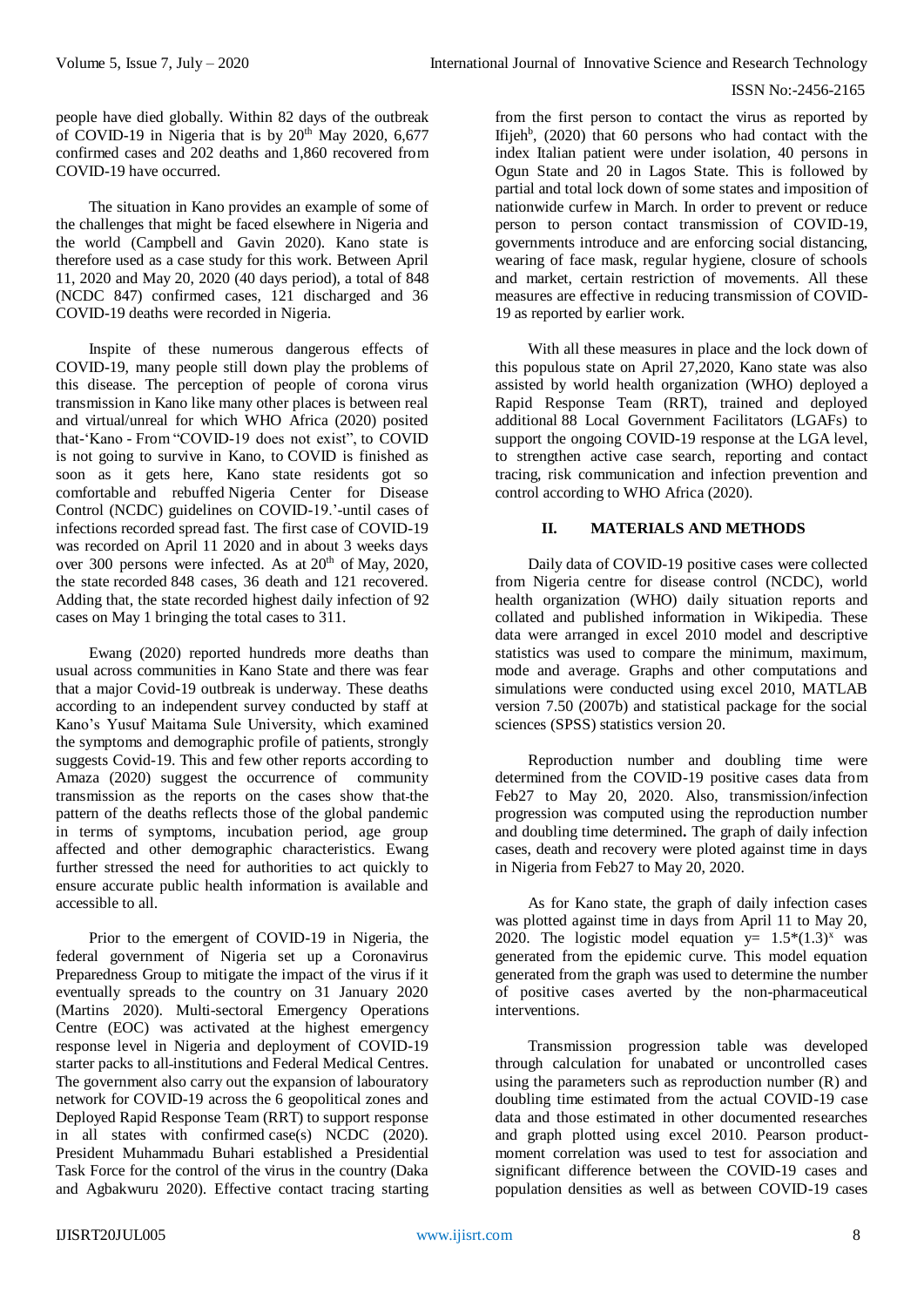people have died globally. Within 82 days of the outbreak of COVID-19 in Nigeria that is by  $20<sup>th</sup>$  May 2020, 6,677 confirmed cases and 202 deaths and 1,860 recovered from COVID-19 have occurred.

The situation in Kano provides an example of some of the challenges that might be faced elsewhere in Nigeria and the world [\(Campbell](https://www.cfr.org/expert/john-campbell) and [Gavin](https://www.cfr.org/expert/michelle-d-gavin) 2020). Kano state is therefore used as a case study for this work. Between April 11, 2020 and May 20, 2020 (40 days period), a total of 848 (NCDC 847) confirmed cases, 121 discharged and 36 COVID-19 deaths were recorded in Nigeria.

Inspite of these numerous dangerous effects of COVID-19, many people still down play the problems of this disease. The perception of people of corona virus transmission in Kano like many other places is between real and virtual/unreal for which WHO Africa (2020) posited that-'Kano - From "COVID-19 does not exist", to COVID is not going to survive in Kano, to COVID is finished as soon as it gets here, Kano state residents got so comfortable and rebuffed Nigeria Center for Disease Control (NCDC) guidelines on COVID-19.'-until cases of infections recorded spread fast. The first case of COVID-19 was recorded on April 11 2020 and in about 3 weeks days over 300 persons were infected. As at  $20<sup>th</sup>$  of May, 2020, the state recorded 848 cases, 36 death and 121 recovered. Adding that, the state recorded highest daily infection of 92 cases on May 1 bringing the total cases to 311.

Ewang (2020) reported hundreds more deaths than usual across communities in Kano State and there was fear that a major Covid-19 outbreak is underway. These deaths according to an independent survey conducted by staff at Kano's Yusuf Maitama Sule University, which examined the symptoms and demographic profile of patients, strongly suggests Covid-19. This and few other reports according to Amaza (2020) suggest the occurrence of community transmission as the [reports on the cases show](https://drive.google.com/file/d/18NTMJXAJu08QCCELsOR5M0cz6O39vfdI/view) that the pattern of the deaths reflects those of the global pandemic in terms of symptoms, incubation period, age group affected and other demographic characteristics. Ewang further stressed the need for authorities to act quickly to ensure accurate public health information is available and accessible to all.

Prior to the emergent of COVID-19 in Nigeria, the federal government of Nigeria set up a Coronavirus Preparedness Group to mitigate the impact of the virus if it eventually spreads to the country on 31 January 2020 (Martins 2020). Multi-sectoral Emergency Operations Centre (EOC) was activated at the highest emergency response level in Nigeria and deployment of COVID-19 starter packs to all institutions and Federal Medical Centres. The government also carry out the expansion of labouratory network for COVID-19 across the 6 geopolitical zones and Deployed Rapid Response Team (RRT) to support response in all states with confirmed case(s) NCDC (2020). [President](https://en.wikipedia.org/wiki/President_of_Nigeria) [Muhammadu Buhari](https://en.wikipedia.org/wiki/Muhammadu_Buhari) established a Presidential Task Force for the control of the virus in the country (Daka and Agbakwuru 2020). Effective contact tracing starting

from the first person to contact the virus as reported by Ifijeh<sup>b</sup>, (2020) that 60 persons who had contact with the index Italian patient were under isolation, 40 persons in Ogun State and 20 in Lagos State. This is followed by partial and total lock down of some states and imposition of nationwide curfew in March. In order to prevent or reduce person to person contact transmission of COVID-19, governments introduce and are enforcing social distancing, wearing of face mask, regular hygiene, closure of schools and market, certain restriction of movements. All these measures are effective in reducing transmission of COVID-19 as reported by earlier work.

With all these measures in place and the lock down of this populous state on April 27,2020, Kano state was also assisted by world health organization (WHO) deployed a Rapid Response Team (RRT), trained and deployed additional 88 Local Government Facilitators (LGAFs) to support the ongoing COVID-19 response at the LGA level, to strengthen active case search, reporting and contact tracing, risk communication and infection prevention and control according to WHO Africa (2020).

#### **II. MATERIALS AND METHODS**

Daily data of COVID-19 positive cases were collected from Nigeria centre for disease control (NCDC), world health organization (WHO) daily situation reports and collated and published information in Wikipedia. These data were arranged in excel 2010 model and descriptive statistics was used to compare the minimum, maximum, mode and average. Graphs and other computations and simulations were conducted using excel 2010, MATLAB version 7.50 (2007b) and statistical package for the social sciences (SPSS) statistics version 20.

Reproduction number and doubling time were determined from the COVID-19 positive cases data from Feb27 to May 20, 2020. Also, transmission/infection progression was computed using the reproduction number and doubling time determined**.** The graph of daily infection cases, death and recovery were ploted against time in days in Nigeria from Feb27 to May 20, 2020.

As for Kano state, the graph of daily infection cases was plotted against time in days from April 11 to May 20, 2020. The logistic model equation  $y= 1.5*(1.3)^{x}$  was generated from the epidemic curve. This model equation generated from the graph was used to determine the number of positive cases averted by the non-pharmaceutical interventions.

Transmission progression table was developed through calculation for unabated or uncontrolled cases using the parameters such as reproduction number (R) and doubling time estimated from the actual COVID-19 case data and those estimated in other documented researches and graph plotted using excel 2010. Pearson productmoment correlation was used to test for association and significant difference between the COVID-19 cases and population densities as well as between COVID-19 cases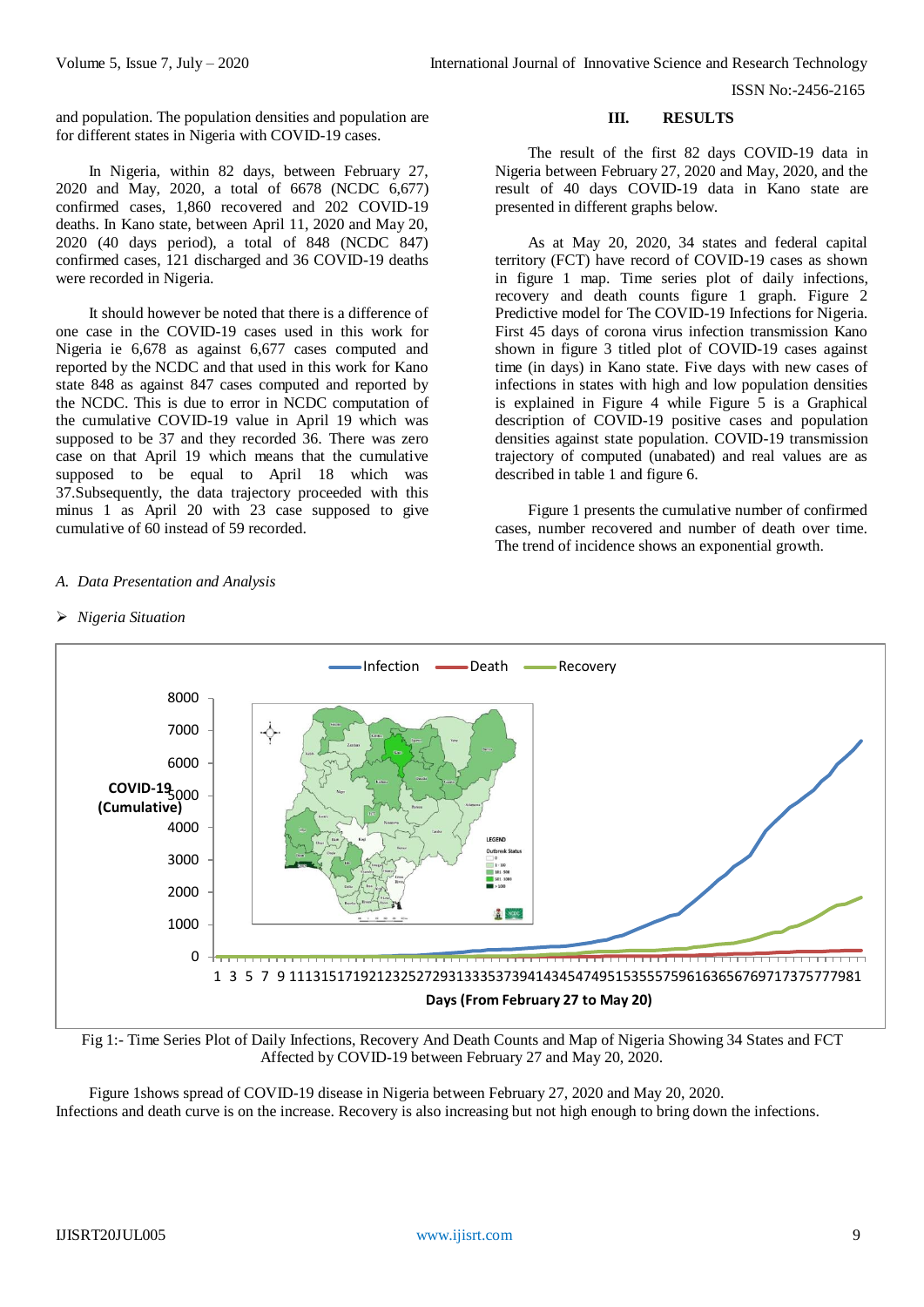and population. The population densities and population are for different states in Nigeria with COVID-19 cases.

In Nigeria, within 82 days, between February 27, 2020 and May, 2020, a total of 6678 (NCDC 6,677) confirmed cases, 1,860 recovered and 202 COVID-19 deaths. In Kano state, between April 11, 2020 and May 20, 2020 (40 days period), a total of 848 (NCDC 847) confirmed cases, 121 discharged and 36 COVID-19 deaths were recorded in Nigeria.

It should however be noted that there is a difference of one case in the COVID-19 cases used in this work for Nigeria ie 6,678 as against 6,677 cases computed and reported by the NCDC and that used in this work for Kano state 848 as against 847 cases computed and reported by the NCDC. This is due to error in NCDC computation of the cumulative COVID-19 value in April 19 which was supposed to be 37 and they recorded 36. There was zero case on that April 19 which means that the cumulative supposed to be equal to April 18 which was 37.Subsequently, the data trajectory proceeded with this minus 1 as April 20 with 23 case supposed to give cumulative of 60 instead of 59 recorded.

#### **III. RESULTS**

The result of the first 82 days COVID-19 data in Nigeria between February 27, 2020 and May, 2020, and the result of 40 days COVID-19 data in Kano state are presented in different graphs below.

As at May 20, 2020, 34 states and federal capital territory (FCT) have record of COVID-19 cases as shown in figure 1 map. Time series plot of daily infections, recovery and death counts figure 1 graph. Figure 2 Predictive model for The COVID-19 Infections for Nigeria. First 45 days of corona virus infection transmission Kano shown in figure 3 titled plot of COVID-19 cases against time (in days) in Kano state. Five days with new cases of infections in states with high and low population densities is explained in Figure 4 while Figure 5 is a Graphical description of COVID-19 positive cases and population densities against state population. COVID-19 transmission trajectory of computed (unabated) and real values are as described in table 1 and figure 6.

Figure 1 presents the cumulative number of confirmed cases, number recovered and number of death over time. The trend of incidence shows an exponential growth.



## *Nigeria Situation*

*A. Data Presentation and Analysis*

Fig 1:- Time Series Plot of Daily Infections, Recovery And Death Counts and Map of Nigeria Showing 34 States and FCT Affected by COVID-19 between February 27 and May 20, 2020.

Figure 1shows spread of COVID-19 disease in Nigeria between February 27, 2020 and May 20, 2020. Infections and death curve is on the increase. Recovery is also increasing but not high enough to bring down the infections.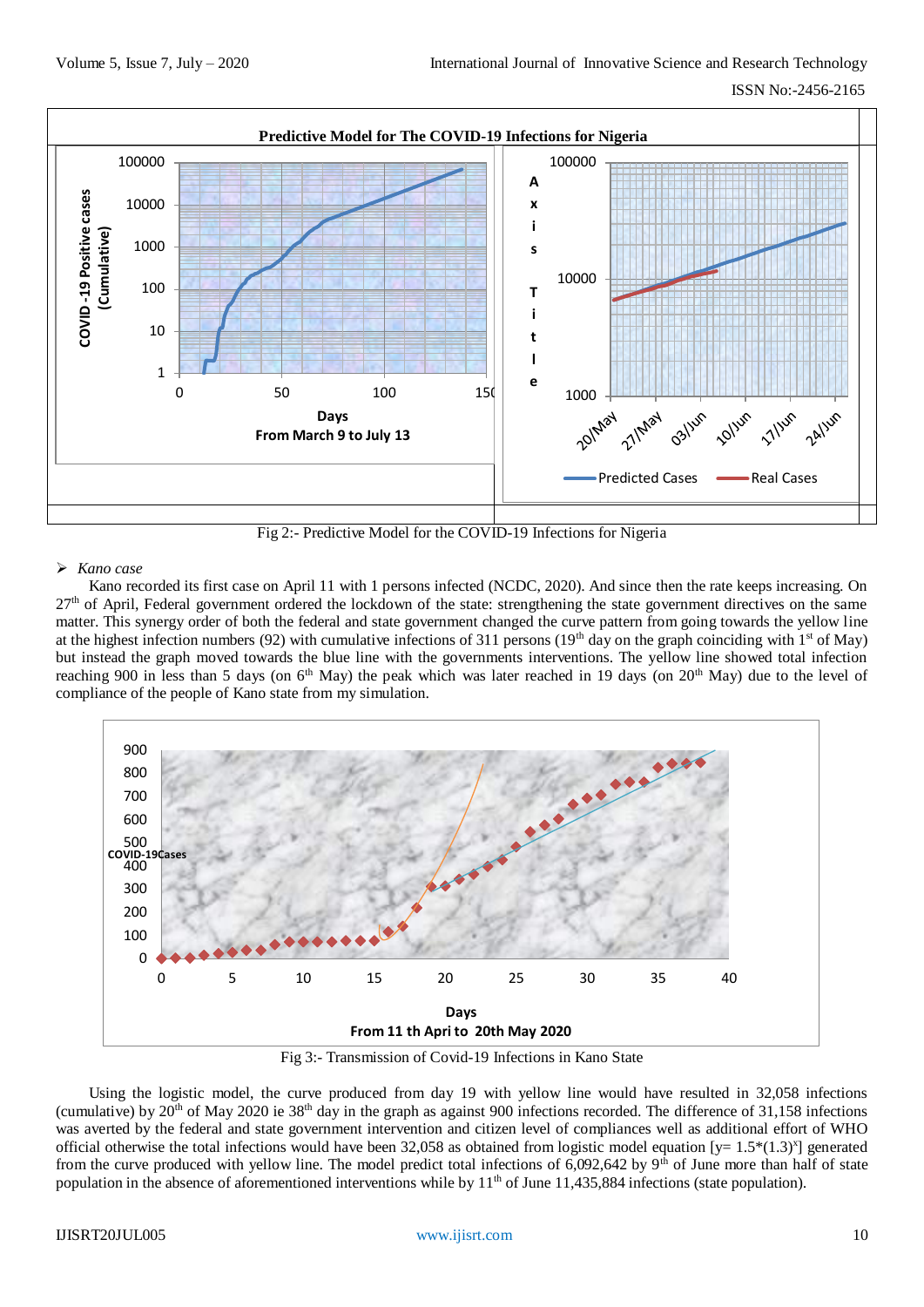

Fig 2:- Predictive Model for the COVID-19 Infections for Nigeria

#### *Kano case*

Kano recorded its first case on April 11 with 1 persons infected (NCDC, 2020). And since then the rate keeps increasing. On 27<sup>th</sup> of April, Federal government ordered the lockdown of the state: strengthening the state government directives on the same matter. This synergy order of both the federal and state government changed the curve pattern from going towards the yellow line at the highest infection numbers (92) with cumulative infections of 311 persons (19<sup>th</sup> day on the graph coinciding with 1<sup>st</sup> of May) but instead the graph moved towards the blue line with the governments interventions. The yellow line showed total infection reaching 900 in less than 5 days (on  $6<sup>th</sup>$  May) the peak which was later reached in 19 days (on 20<sup>th</sup> May) due to the level of compliance of the people of Kano state from my simulation.



Fig 3:- Transmission of Covid-19 Infections in Kano State

Using the logistic model, the curve produced from day 19 with yellow line would have resulted in 32,058 infections (cumulative) by 20<sup>th</sup> of May 2020 ie 38<sup>th</sup> day in the graph as against 900 infections recorded. The difference of 31,158 infections was averted by the federal and state government intervention and citizen level of compliances well as additional effort of WHO official otherwise the total infections would have been 32,058 as obtained from logistic model equation  $[y= 1.5*(1.3)^x]$  generated from the curve produced with yellow line. The model predict total infections of  $6,092,642$  by  $9<sup>th</sup>$  of June more than half of state population in the absence of aforementioned interventions while by  $11<sup>th</sup>$  of June 11,435,884 infections (state population).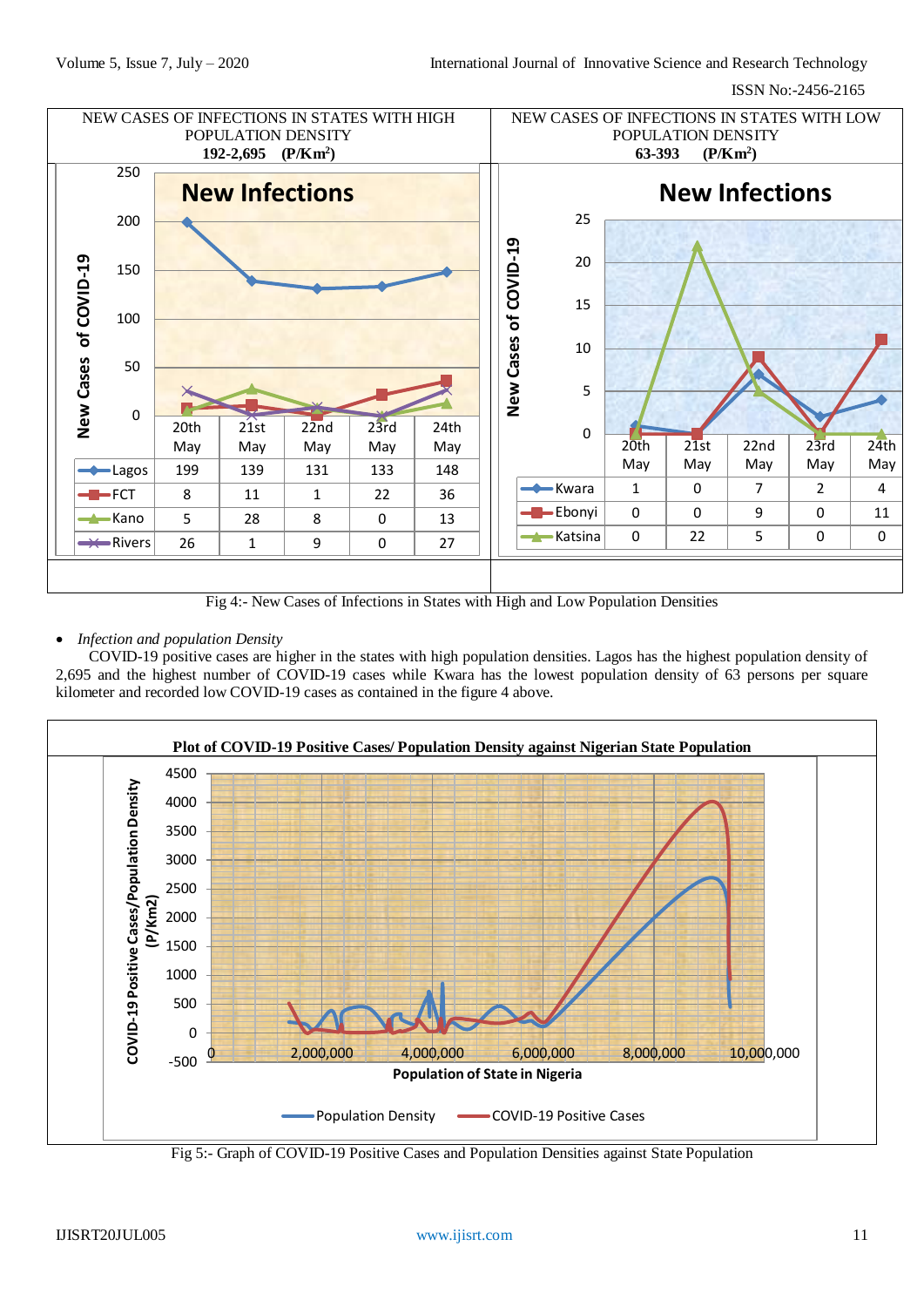

Fig 4:- New Cases of Infections in States with High and Low Population Densities

## *Infection and population Density*

COVID-19 positive cases are higher in the states with high population densities. Lagos has the highest population density of 2,695 and the highest number of COVID-19 cases while Kwara has the lowest population density of 63 persons per square kilometer and recorded low COVID-19 cases as contained in the figure 4 above.



Fig 5:- Graph of COVID-19 Positive Cases and Population Densities against State Population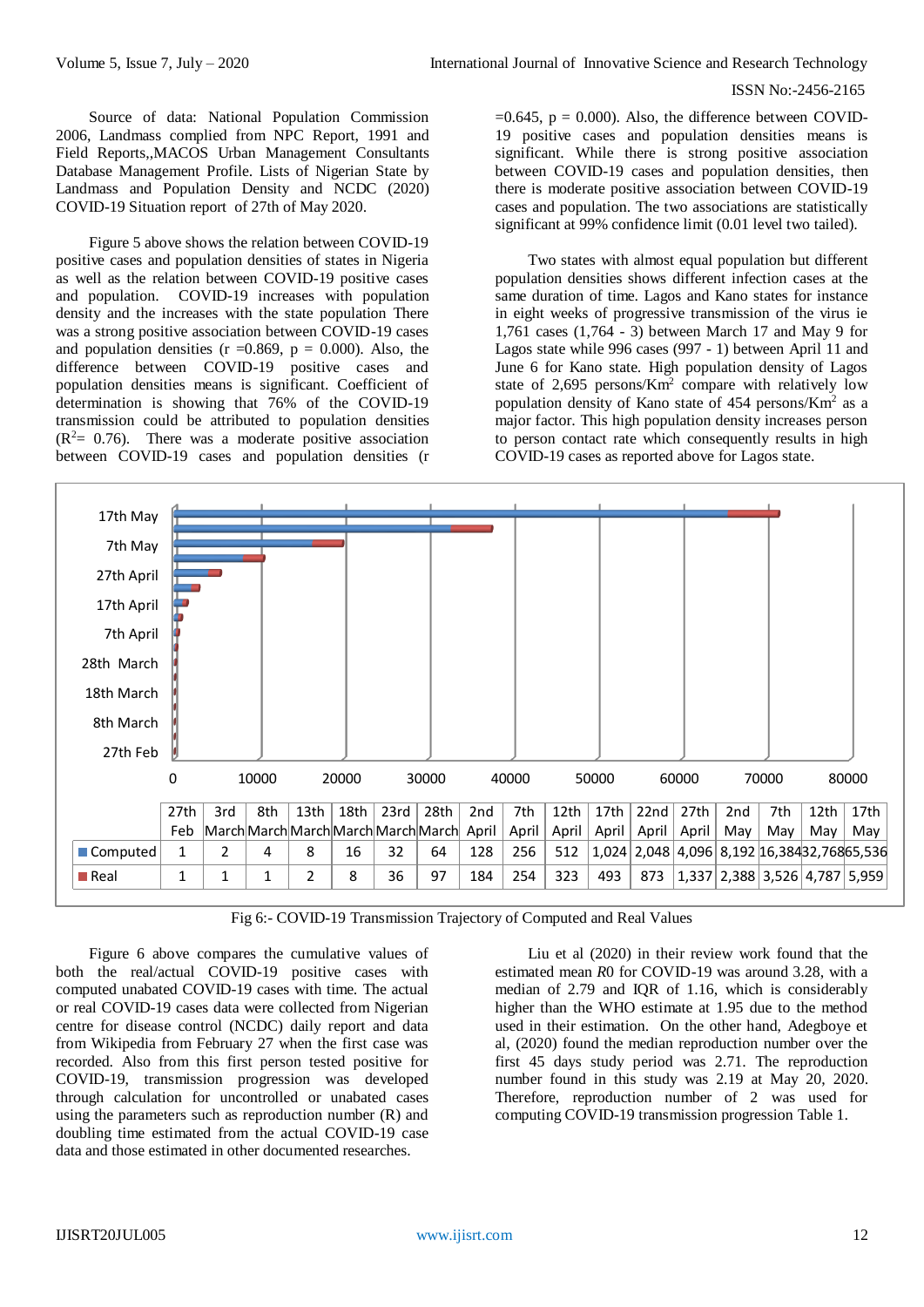Source of data: National Population Commission 2006, Landmass complied from NPC Report, 1991 and Field Reports,,MACOS Urban Management Consultants Database Management Profile. Lists of Nigerian State by Landmass and Population Density and NCDC (2020) COVID-19 Situation report of 27th of May 2020.

Figure 5 above shows the relation between COVID-19 positive cases and population densities of states in Nigeria as well as the relation between COVID-19 positive cases and population. COVID-19 increases with population density and the increases with the state population There was a strong positive association between COVID-19 cases and population densities ( $r = 0.869$ ,  $p = 0.000$ ). Also, the difference between COVID-19 positive cases and population densities means is significant. Coefficient of determination is showing that 76% of the COVID-19 transmission could be attributed to population densities  $(R<sup>2</sup>= 0.76)$ . There was a moderate positive association between COVID-19 cases and population densities (r

 $=0.645$ ,  $p = 0.000$ . Also, the difference between COVID-19 positive cases and population densities means is significant. While there is strong positive association between COVID-19 cases and population densities, then there is moderate positive association between COVID-19 cases and population. The two associations are statistically significant at 99% confidence limit (0.01 level two tailed).

Two states with almost equal population but different population densities shows different infection cases at the same duration of time. Lagos and Kano states for instance in eight weeks of progressive transmission of the virus ie 1,761 cases (1,764 - 3) between March 17 and May 9 for Lagos state while 996 cases (997 - 1) between April 11 and June 6 for Kano state. High population density of Lagos state of  $2,695$  persons/ $Km<sup>2</sup>$  compare with relatively low population density of Kano state of 454 persons/Km<sup>2</sup> as a major factor. This high population density increases person to person contact rate which consequently results in high COVID-19 cases as reported above for Lagos state.



Fig 6:- COVID-19 Transmission Trajectory of Computed and Real Values

Figure 6 above compares the cumulative values of both the real/actual COVID-19 positive cases with computed unabated COVID-19 cases with time. The actual or real COVID-19 cases data were collected from Nigerian centre for disease control (NCDC) daily report and data from Wikipedia from February 27 when the first case was recorded. Also from this first person tested positive for COVID-19, transmission progression was developed through calculation for uncontrolled or unabated cases using the parameters such as reproduction number (R) and doubling time estimated from the actual COVID-19 case data and those estimated in other documented researches.

Liu et al (2020) in their review work found that the estimated mean *R*0 for COVID-19 was around 3.28, with a median of 2.79 and IQR of 1.16, which is considerably higher than the WHO estimate at 1.95 due to the method used in their estimation. On the other hand, Adegboye et al, (2020) found the median reproduction number over the first 45 days study period was 2.71. The reproduction number found in this study was 2.19 at May 20, 2020. Therefore, reproduction number of 2 was used for computing COVID-19 transmission progression Table 1.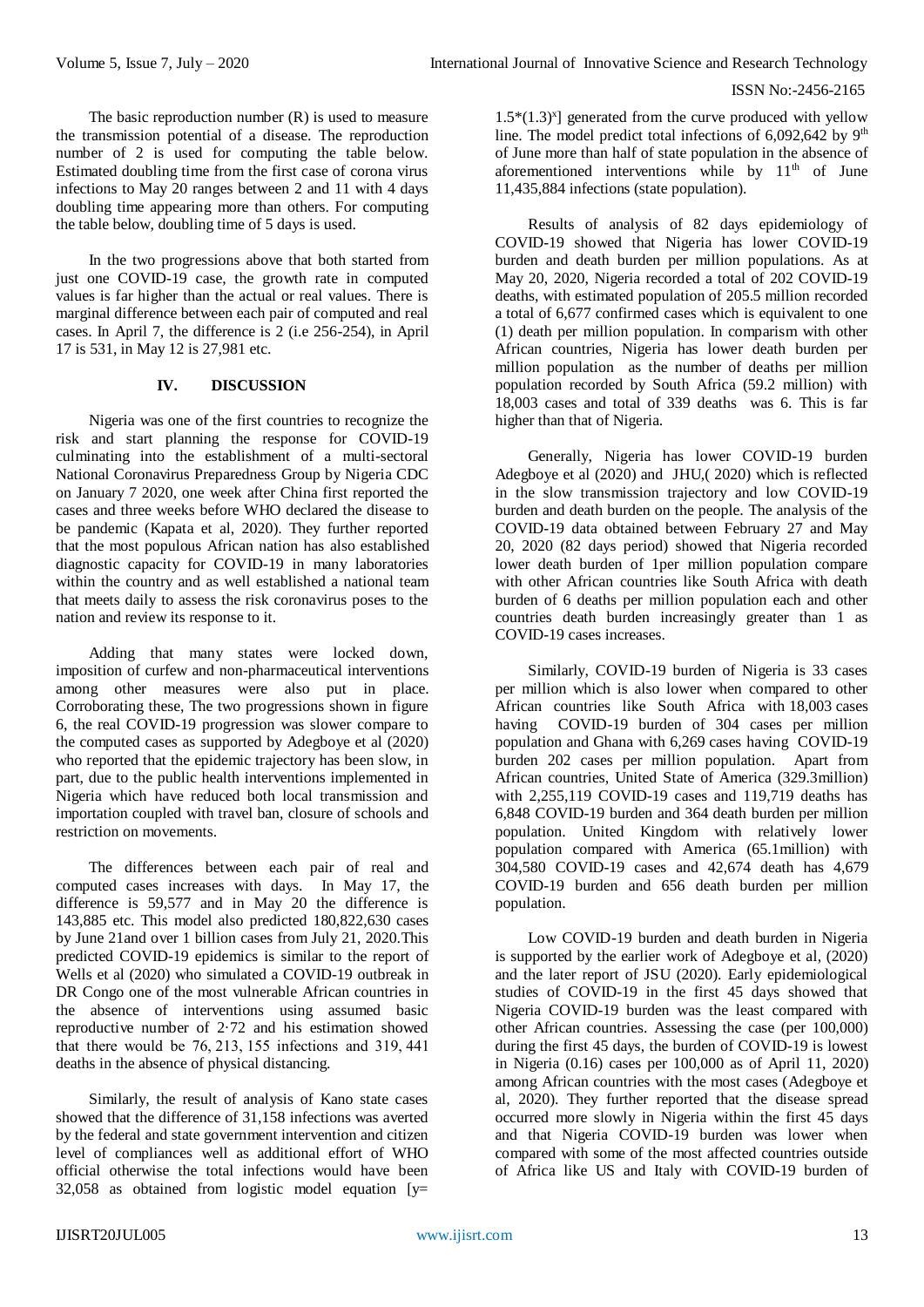The basic reproduction number (R) is used to measure the transmission potential of a disease. The reproduction number of 2 is used for computing the table below. Estimated doubling time from the first case of corona virus infections to May 20 ranges between 2 and 11 with 4 days doubling time appearing more than others. For computing the table below, doubling time of 5 days is used.

In the two progressions above that both started from just one COVID-19 case, the growth rate in computed values is far higher than the actual or real values. There is marginal difference between each pair of computed and real cases. In April 7, the difference is 2 (i.e 256-254), in April 17 is 531, in May 12 is 27,981 etc.

### **IV. DISCUSSION**

Nigeria was one of the first countries to recognize the risk and start planning the response for COVID-19 culminating into the establishment of a multi-sectoral National Coronavirus Preparedness Group by Nigeria CDC on January 7 2020, one week after China first reported the cases and three weeks before WHO declared the disease to be pandemic (Kapata et al, 2020). They further reported that the most populous African nation has also established diagnostic capacity for COVID-19 in many laboratories within the country and as well established a national team that meets daily to assess the risk coronavirus poses to the nation and review its response to it.

Adding that many states were locked down, imposition of curfew and non-pharmaceutical interventions among other measures were also put in place. Corroborating these, The two progressions shown in figure 6, the real COVID-19 progression was slower compare to the computed cases as supported by Adegboye et al (2020) who reported that the epidemic trajectory has been slow, in part, due to the public health interventions implemented in Nigeria which have reduced both local transmission and importation coupled with travel ban, closure of schools and restriction on movements.

The differences between each pair of real and computed cases increases with days. In May 17, the difference is 59,577 and in May 20 the difference is 143,885 etc. This model also predicted 180,822,630 cases by June 21and over 1 billion cases from July 21, 2020.This predicted COVID-19 epidemics is similar to the report of Wells et al (2020) who simulated a COVID-19 outbreak in DR Congo one of the most vulnerable African countries in the absence of interventions using assumed basic reproductive number of 2·72 and his estimation showed that there would be 76, 213, 155 infections and 319, 441 deaths in the absence of physical distancing.

Similarly, the result of analysis of Kano state cases showed that the difference of 31,158 infections was averted by the federal and state government intervention and citizen level of compliances well as additional effort of WHO official otherwise the total infections would have been 32,058 as obtained from logistic model equation  $[y=$ 

 $1.5*(1.3)^x$ ] generated from the curve produced with yellow line. The model predict total infections of 6,092,642 by 9<sup>th</sup> of June more than half of state population in the absence of aforementioned interventions while by  $11<sup>th</sup>$  of June 11,435,884 infections (state population).

Results of analysis of 82 days epidemiology of COVID-19 showed that Nigeria has lower COVID-19 burden and death burden per million populations. As at May 20, 2020, Nigeria recorded a total of 202 COVID-19 deaths, with estimated population of 205.5 million recorded a total of 6,677 confirmed cases which is equivalent to one (1) death per million population. In comparism with other African countries, Nigeria has lower death burden per million population as the number of deaths per million population recorded by South Africa (59.2 million) with 18,003 cases and total of 339 deaths was 6. This is far higher than that of Nigeria.

Generally, Nigeria has lower COVID-19 burden Adegboye et al (2020) and JHU,( 2020) which is reflected in the slow transmission trajectory and low COVID-19 burden and death burden on the people. The analysis of the COVID-19 data obtained between February 27 and May 20, 2020 (82 days period) showed that Nigeria recorded lower death burden of 1per million population compare with other African countries like South Africa with death burden of 6 deaths per million population each and other countries death burden increasingly greater than 1 as COVID-19 cases increases.

Similarly, COVID-19 burden of Nigeria is 33 cases per million which is also lower when compared to other African countries like South Africa with 18,003 cases<br>having COVID-19 burden of 304 cases per million COVID-19 burden of 304 cases per million population and Ghana with 6,269 cases having COVID-19 burden 202 cases per million population. Apart from African countries, United State of America (329.3million) with 2,255,119 COVID-19 cases and 119,719 deaths has 6,848 COVID-19 burden and 364 death burden per million population. United Kingdom with relatively lower population compared with America (65.1million) with 304,580 COVID-19 cases and 42,674 death has 4,679 COVID-19 burden and 656 death burden per million population.

Low COVID-19 burden and death burden in Nigeria is supported by the earlier work of Adegboye et al, (2020) and the later report of JSU (2020). Early epidemiological studies of COVID-19 in the first 45 days showed that Nigeria COVID-19 burden was the least compared with other African countries. Assessing the case (per 100,000) during the first 45 days, the burden of COVID-19 is lowest in Nigeria (0.16) cases per 100,000 as of April 11, 2020) among African countries with the most cases (Adegboye et al, 2020). They further reported that the disease spread occurred more slowly in Nigeria within the first 45 days and that Nigeria COVID-19 burden was lower when compared with some of the most affected countries outside of Africa like US and Italy with COVID-19 burden of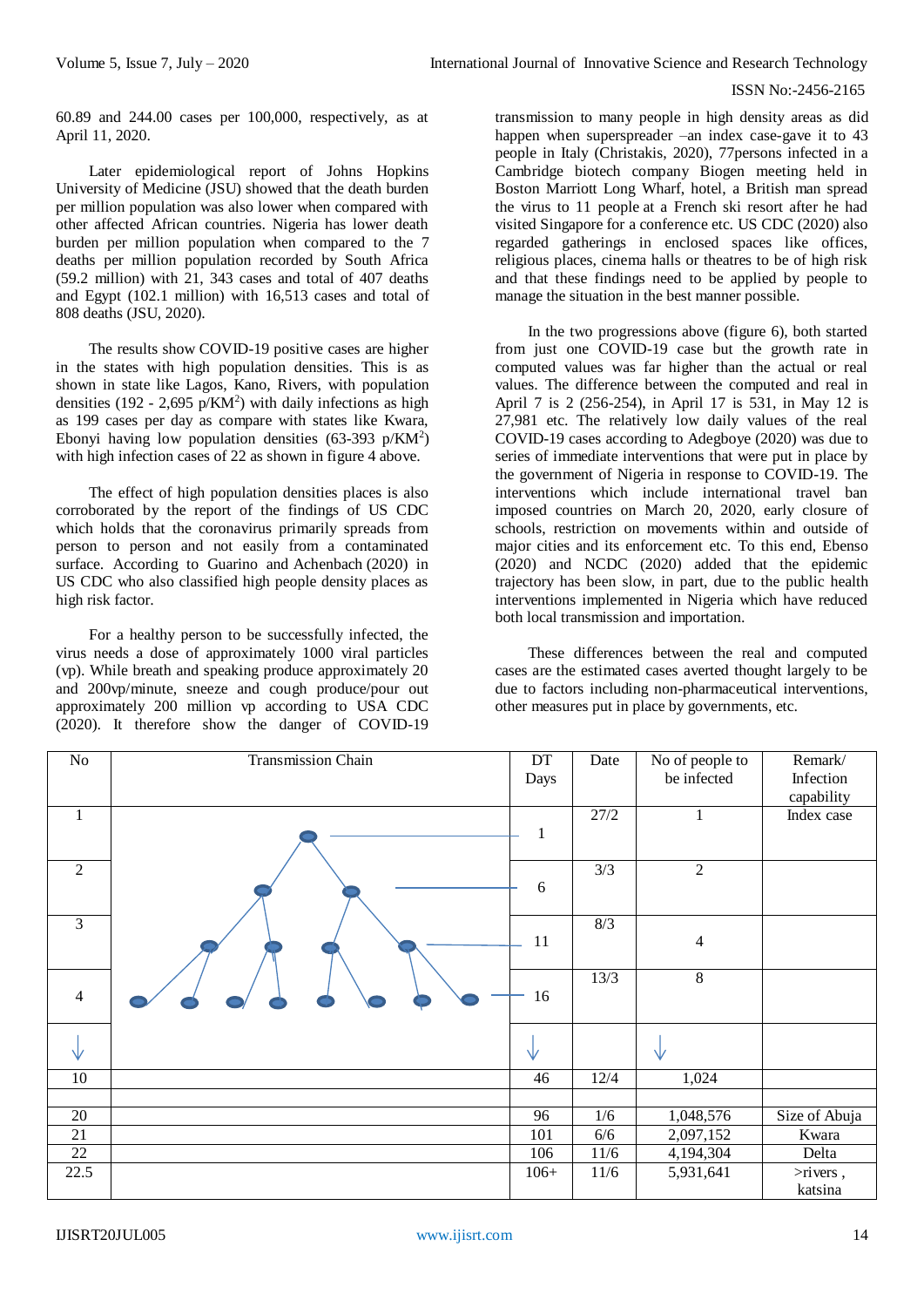60.89 and 244.00 cases per 100,000, respectively, as at April 11, 2020.

Later epidemiological report of Johns Hopkins University of Medicine (JSU) showed that the death burden per million population was also lower when compared with other affected African countries. Nigeria has lower death burden per million population when compared to the 7 deaths per million population recorded by South Africa (59.2 million) with 21, 343 cases and total of 407 deaths and Egypt (102.1 million) with 16,513 cases and total of 808 deaths (JSU, 2020).

The results show COVID-19 positive cases are higher in the states with high population densities. This is as shown in state like Lagos, Kano, Rivers, with population densities  $(192 - 2,695 \text{ p/KM}^2)$  with daily infections as high as 199 cases per day as compare with states like Kwara, Ebonyi having low population densities  $(63-393 \text{ p/KM}^2)$ with high infection cases of 22 as shown in figure 4 above.

The effect of high population densities places is also corroborated by the report of the findings of US CDC which holds that the coronavirus primarily spreads from person to person and not easily from a contaminated surface. According to Guarino and Achenbach (2020) in US CDC who also classified high people density places as high risk factor.

For a healthy person to be successfully infected, the virus needs a dose of approximately 1000 viral particles (vp). While breath and speaking produce approximately 20 and 200vp/minute, sneeze and cough produce/pour out approximately 200 million vp according to USA CDC (2020). It therefore show the danger of COVID-19

transmission to many people in high density areas as did happen when superspreader –an index case-gave it to 43 people in Italy (Christakis, 2020), 77persons infected in a Cambridge biotech company Biogen meeting held in Boston Marriott Long Wharf, hotel, a [British](https://www.livescience.com/coronavirus-uk-superspreader.html) man spread the virus to 11 [people](https://www.livescience.com/coronavirus-uk-superspreader.html) at a French ski resort after he had visited Singapore for a conference etc. US CDC (2020) also regarded gatherings in enclosed spaces like offices, religious places, cinema halls or theatres to be of high risk and that these findings need to be applied by people to manage the situation in the best manner possible.

In the two progressions above (figure 6), both started from just one COVID-19 case but the growth rate in computed values was far higher than the actual or real values. The difference between the computed and real in April 7 is 2 (256-254), in April 17 is 531, in May 12 is 27,981 etc. The relatively low daily values of the real COVID-19 cases according to Adegboye (2020) was due to series of immediate interventions that were put in place by the government of Nigeria in response to COVID-19. The interventions which include international travel ban imposed countries on March 20, 2020, early closure of schools, restriction on movements within and outside of major cities and its enforcement etc. To this end, Ebenso (2020) and NCDC (2020) added that the epidemic trajectory has been slow, in part, due to the public health interventions implemented in Nigeria which have reduced both local transmission and importation.

These differences between the real and computed cases are the estimated cases averted thought largely to be due to factors including non-pharmaceutical interventions, other measures put in place by governments, etc.

| $\rm No$       | <b>Transmission Chain</b> | DT           | Date   | No of people to | Remark/       |
|----------------|---------------------------|--------------|--------|-----------------|---------------|
|                |                           | Days         |        | be infected     | Infection     |
|                |                           |              |        |                 | capability    |
| 1              |                           |              | 27/2   | $\mathbf{1}$    | Index case    |
|                |                           | $\mathbf{1}$ |        |                 |               |
|                |                           |              |        |                 |               |
| $\overline{2}$ |                           |              | 3/3    | $\overline{2}$  |               |
|                |                           | 6            |        |                 |               |
| $\overline{3}$ |                           |              | 8/3    |                 |               |
|                |                           | 11           |        | $\overline{4}$  |               |
|                |                           |              |        |                 |               |
|                |                           |              | 13/3   | 8               |               |
| $\overline{4}$ |                           | 16           |        |                 |               |
|                |                           |              |        |                 |               |
| NZ             |                           | ΝZ           |        |                 |               |
| $10\,$         |                           | 46           | 12/4   | 1,024           |               |
|                |                           |              |        |                 |               |
| 20             |                           | 96           | 1/6    | 1,048,576       | Size of Abuja |
| 21             |                           | 101          | 6/6    | 2,097,152       | Kwara         |
| 22             |                           | 106          | $11/6$ | 4,194,304       | Delta         |
| 22.5           |                           | $106+$       | 11/6   | 5,931,641       | $>$ rivers,   |
|                |                           |              |        |                 | katsina       |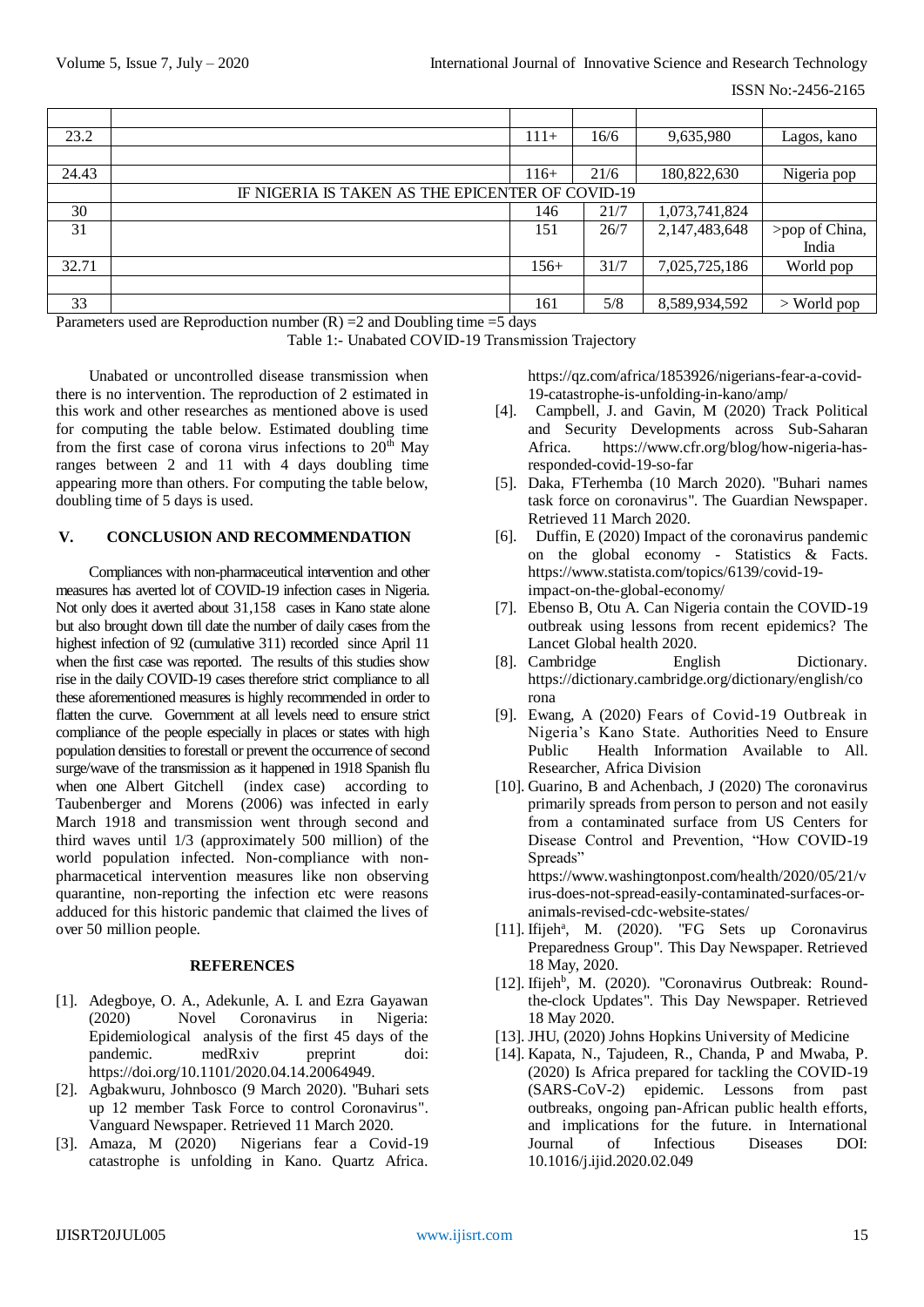| 23.2  |                                                  | $111+$ | 16/6 | 9,635,980     | Lagos, kano    |  |  |
|-------|--------------------------------------------------|--------|------|---------------|----------------|--|--|
|       |                                                  |        |      |               |                |  |  |
| 24.43 |                                                  | $116+$ | 21/6 | 180,822,630   | Nigeria pop    |  |  |
|       | IF NIGERIA IS TAKEN AS THE EPICENTER OF COVID-19 |        |      |               |                |  |  |
| 30    |                                                  | 146    | 21/7 | 1,073,741,824 |                |  |  |
| 31    |                                                  | 151    | 26/7 | 2,147,483,648 | >pop of China, |  |  |
|       |                                                  |        |      |               | India          |  |  |
| 32.71 |                                                  | $156+$ | 31/7 | 7,025,725,186 | World pop      |  |  |
|       |                                                  |        |      |               |                |  |  |
| 33    |                                                  | 161    | 5/8  | 8,589,934,592 | $>$ World pop  |  |  |

Parameters used are Reproduction number  $(R) = 2$  and Doubling time  $= 5$  days

Table 1:- Unabated COVID-19 Transmission Trajectory

Unabated or uncontrolled disease transmission when there is no intervention. The reproduction of 2 estimated in this work and other researches as mentioned above is used for computing the table below. Estimated doubling time from the first case of corona virus infections to  $20<sup>th</sup>$  May ranges between 2 and 11 with 4 days doubling time appearing more than others. For computing the table below, doubling time of 5 days is used.

## **V. CONCLUSION AND RECOMMENDATION**

Compliances with non-pharmaceutical intervention and other measures has averted lot of COVID-19 infection cases in Nigeria. Not only does it averted about 31,158 cases in Kano state alone but also brought down till date the number of daily cases from the highest infection of 92 (cumulative 311) recorded since April 11 when the first case was reported. The results of this studies show rise in the daily COVID-19 cases therefore strict compliance to all these aforementioned measures is highly recommended in order to flatten the curve. Government at all levels need to ensure strict compliance of the people especially in places or states with high population densities to forestall or prevent the occurrence of second surge/wave of the transmission as it happened in 1918 Spanish flu when one Albert Gitchell (index case) according to [Taubenberger](https://www.ncbi.nlm.nih.gov/pubmed/?term=Taubenberger%20JK%5BAuthor%5D&cauthor=true&cauthor_uid=16494711) and [Morens](https://www.ncbi.nlm.nih.gov/pubmed/?term=Morens%20DM%5BAuthor%5D&cauthor=true&cauthor_uid=16494711) (2006) was infected in early March 1918 and transmission went through second and third waves until 1/3 (approximately 500 million) of the world population infected. Non-compliance with nonpharmacetical intervention measures like non observing quarantine, non-reporting the infection etc were reasons adduced for this historic pandemic that claimed the lives of over 50 million people.

#### **REFERENCES**

- [1]. Adegboye, O. A., Adekunle, A. I. and Ezra Gayawan (2020) Novel Coronavirus in Nigeria: Epidemiological analysis of the first 45 days of the pandemic. medRxiv preprint doi: https://doi.org/10.1101/2020.04.14.20064949.
- [2]. Agbakwuru, Johnbosco (9 March 2020). ["Buhari sets](https://www.vanguardngr.com/2020/03/buhari-sets-up-12-member-task-force-to-control-coronavirus)  [up 12 member Task Force to control Coronavirus".](https://www.vanguardngr.com/2020/03/buhari-sets-up-12-member-task-force-to-control-coronavirus) [Vanguard Newspaper.](https://en.wikipedia.org/wiki/Vanguard_(Nigeria)) Retrieved 11 March 2020.
- [3]. Amaza, M (2020) Nigerians fear a Covid-19 catastrophe is unfolding in Kano. Quartz Africa.

[https://qz.com/africa/1853926/nigerians-fear-a-covid-](https://qz.com/africa/1853926/nigerians-fear-a-covid-19-catastrophe-is-unfolding-in-kano/amp/)[19-catastrophe-is-unfolding-in-kano/amp/](https://qz.com/africa/1853926/nigerians-fear-a-covid-19-catastrophe-is-unfolding-in-kano/amp/)

- [4].[Campbell,](https://www.cfr.org/expert/john-campbell) J. and [Gavin,](https://www.cfr.org/expert/michelle-d-gavin) M (2020) Track Political and Security Developments across Sub-Saharan Africa. https://www.cfr.org/blog/how-nigeria-hasresponded-covid-19-so-far
- [5]. Daka, FTerhemba (10 March 2020). ["Buhari names](https://guardian.ng/news/buhari-names-task-force-on-coronavirus)  [task force on coronavirus".](https://guardian.ng/news/buhari-names-task-force-on-coronavirus) [The Guardian Newspaper.](https://en.wikipedia.org/wiki/The_Guardian_(Nigeria)) Retrieved 11 March 2020.
- [6].[Duffin,](https://www.statista.com/aboutus/our-research-commitment) E (2020) Impact of the coronavirus pandemic on the global economy - Statistics & Facts. [https://www.statista.com/topics/6139/covid-19](https://www.statista.com/topics/6139/covid-19-impact-on-the-global-economy/) [impact-on-the-global-economy/](https://www.statista.com/topics/6139/covid-19-impact-on-the-global-economy/)
- [7]. Ebenso B, Otu A. Can Nigeria contain the COVID-19 outbreak using lessons from recent epidemics? The Lancet Global health 2020.
- [8]. Cambridge English Dictionary. https://dictionary.cambridge.org/dictionary/english/co rona
- [9]. Ewang, A (2020) Fears of Covid-19 Outbreak in Nigeria's Kano State. Authorities Need to Ensure Public Health Information Available to All. Researcher, Africa Division
- [10]. Guarino, B and Achenbach, J (2020) The coronavirus primarily spreads from person to person and not easily from a contaminated surface from US Centers for Disease Control and Prevention, "How COVID-19 Spreads" [https://www.washingtonpost.com/health/2020/05/21/v](https://www.washingtonpost.com/health/2020/05/21/virus-does-not-spread-easily-contaminated-surfaces-or-animals-revised-cdc-website-states/)

[irus-does-not-spread-easily-contaminated-surfaces-or](https://www.washingtonpost.com/health/2020/05/21/virus-does-not-spread-easily-contaminated-surfaces-or-animals-revised-cdc-website-states/)[animals-revised-cdc-website-states/](https://www.washingtonpost.com/health/2020/05/21/virus-does-not-spread-easily-contaminated-surfaces-or-animals-revised-cdc-website-states/)

- [11]. Ifijeh<sup>a</sup>, M. (2020). "FG Sets up Coronavirus [Preparedness Group".](https://www.thisdaylive.com/index.php/2020/01/31/fg-sets-up-coronavirus-preparedness-group) [This Day Newspaper.](https://en.wikipedia.org/wiki/This_Day) Retrieved 18 May, 2020.
- [12]. Ifijeh<sup>b</sup>, M. (2020). ["Coronavirus Outbreak: Round](https://www.thisdaylive.com/index.php/2020/03/08/coronavirus-outbreak-round-the-clock-updates)[the-clock Updates".](https://www.thisdaylive.com/index.php/2020/03/08/coronavirus-outbreak-round-the-clock-updates) [This Day Newspaper.](https://en.wikipedia.org/wiki/This_Day) Retrieved 18 May 2020.
- [13]. JHU, (2020) Johns Hopkins University of Medicine
- [14]. Kapata, N., Tajudeen, R., Chanda, P and Mwaba, P. (2020) Is Africa prepared for tackling the COVID-19 (SARS-CoV-2) epidemic. Lessons from past outbreaks, ongoing pan-African public health efforts, and implications for the future. in International Journal of Infectious Diseases DOI: 10.1016/j.ijid.2020.02.049